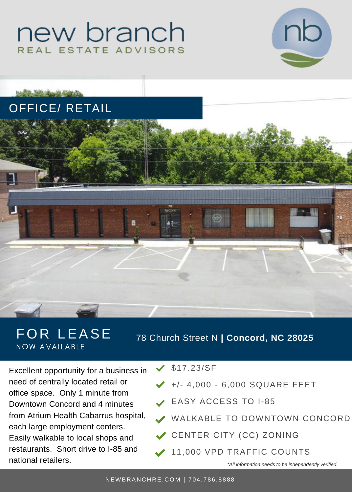# new branch REAL ESTATE ADVISORS



## OFFICE/ RETAIL

hazilla little should district



### FOR LEASE NOW AVAILABLE

78 Church Street N **| Concord, NC 28025**

Excellent opportunity for a business in need of centrally located retail or office space. Only 1 minute from Downtown Concord and 4 minutes from Atrium Health Cabarrus hospital, each large employment centers. Easily walkable to local shops and restaurants. Short drive to I-85 and national retailers.

#### $\angle$  \$17.23/SF

- $\bigvee$  +/- 4,000 6,000 SQUARE FEET
- EASY ACCESS TO I-85
- WALKABLE TO DOWNTOWN CONCORD
- CENTER CITY (CC) ZONING
- 11,000 VPD TRAFFIC COUNTS

*\*All information needs to be independently verified.*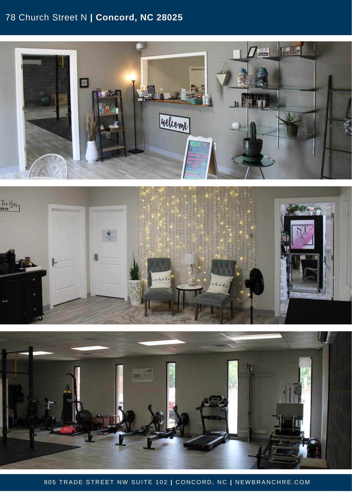#### 78 Church Street N **| Concord, NC 28025**







805 TRADE STREET NW SUITE 102 | CONCORD, NC | NEWBRANCHRE.CO[M](http://www.newbranchre.com/)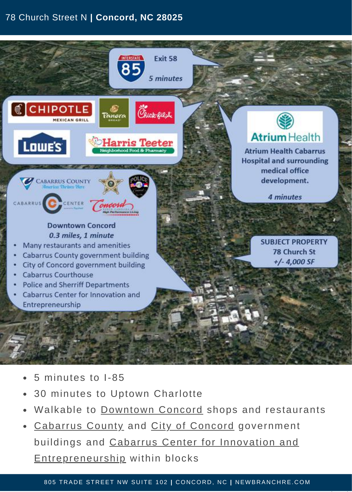#### 78 Church Street N **| Concord, NC 28025**



- 5 minutes to I-85
- 30 minutes to Uptown Charlotte
- Walkable to [Downtown](https://concorddowntown.com/) Concord shops and restaurants
- [Cabarrus](https://cabarruscounty.us/) County and City of [Concord](https://concordnc.gov/) government buildings and Cabarrus Center for Innovation and [Entrepreneurship](https://cabarruscenter.com/) within blocks